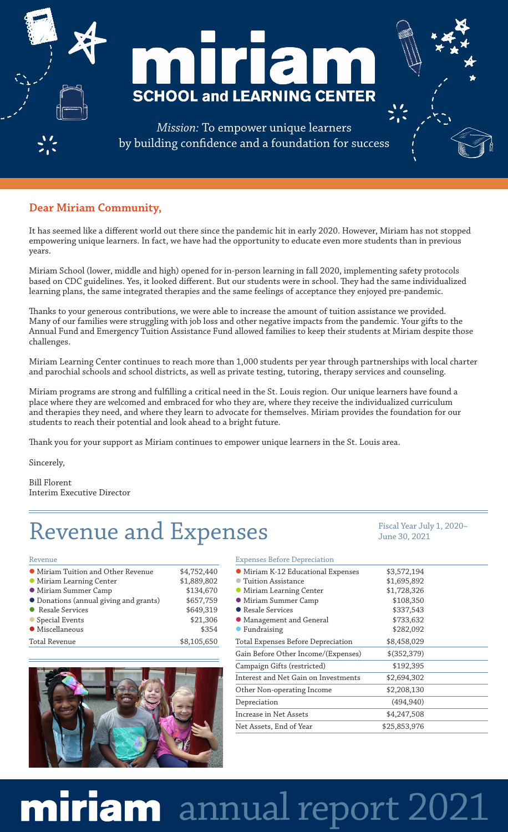

## **Dear Miriam Community,**

It has seemed like a different world out there since the pandemic hit in early 2020. However, Miriam has not stopped empowering unique learners. In fact, we have had the opportunity to educate even more students than in previous years.

Miriam School (lower, middle and high) opened for in-person learning in fall 2020, implementing safety protocols based on CDC guidelines. Yes, it looked different. But our students were in school. They had the same individualized learning plans, the same integrated therapies and the same feelings of acceptance they enjoyed pre-pandemic.

Thanks to your generous contributions, we were able to increase the amount of tuition assistance we provided. Many of our families were struggling with job loss and other negative impacts from the pandemic. Your gifts to the Annual Fund and Emergency Tuition Assistance Fund allowed families to keep their students at Miriam despite those challenges.

Miriam Learning Center continues to reach more than 1,000 students per year through partnerships with local charter and parochial schools and school districts, as well as private testing, tutoring, therapy services and counseling.

Miriam programs are strong and fulfilling a critical need in the St. Louis region. Our unique learners have found a place where they are welcomed and embraced for who they are, where they receive the individualized curriculum and therapies they need, and where they learn to advocate for themselves. Miriam provides the foundation for our students to reach their potential and look ahead to a bright future.

Thank you for your support as Miriam continues to empower unique learners in the St. Louis area.

Sincerely,

Bill Florent Interim Executive Director

## Revenue and Expenses Fiscal Year July 1, 2020–

June 30, 2021

#### Revenue

| • Miriam Tuition and Other Revenue     | \$4,752,440 |
|----------------------------------------|-------------|
| • Miriam Learning Center               | \$1,889,802 |
| • Miriam Summer Camp                   | \$134,670   |
| • Donations (annual giving and grants) | \$657,759   |
| • Resale Services                      | \$649,319   |
| • Special Events                       | \$21,306    |
| • Miscellaneous                        | \$354       |
| Total Revenue                          | \$8,105,650 |



## Expenses Before Depreciation

| $\frac{1}{2}$ $\frac{1}{2}$ $\frac{1}{2}$ $\frac{1}{2}$ $\frac{1}{2}$ |               |  |
|-----------------------------------------------------------------------|---------------|--|
| • Miriam K-12 Educational Expenses                                    | \$3,572,194   |  |
| Tuition Assistance                                                    | \$1,695,892   |  |
| • Miriam Learning Center                                              | \$1,728,326   |  |
| • Miriam Summer Camp                                                  | \$108,350     |  |
| • Resale Services                                                     | \$337,543     |  |
| • Management and General                                              | \$733,632     |  |
| • Fundraising                                                         | \$282,092     |  |
| Total Expenses Before Depreciation                                    | \$8,458,029   |  |
| Gain Before Other Income/(Expenses)                                   | $$$ (352,379) |  |
| Campaign Gifts (restricted)                                           | \$192,395     |  |
| Interest and Net Gain on Investments                                  | \$2,694,302   |  |
| Other Non-operating Income                                            | \$2,208,130   |  |
| Depreciation                                                          | (494, 940)    |  |
| Increase in Net Assets                                                | \$4,247,508   |  |
| Net Assets, End of Year                                               | \$25,853,976  |  |
|                                                                       |               |  |

# miriam annual report 2021